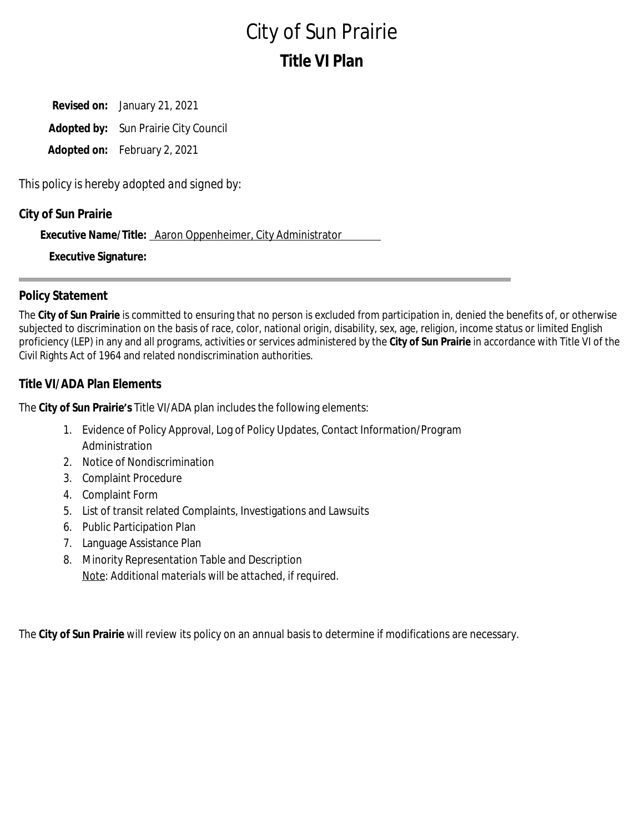# City of Sun Prairie **Title VI Plan**

**Revised on:** January 21, 2021 **Adopted by:** Sun Prairie City Council **Adopted on:** February 2, 2021

*This policy is hereby adopted and signed by*:

### **City of Sun Prairie**

**Executive Name/Title:** Aaron Oppenheimer, City Administrator

**Executive Signature:**

### **Policy Statement**

The **City of Sun Prairie** is committed to ensuring that no person is excluded from participation in, denied the benefits of, or otherwise subjected to discrimination on the basis of race, color, national origin, disability, sex, age, religion, income status or limited English proficiency (LEP) in any and all programs, activities or services administered by the **City of Sun Prairie** in accordance with Title VI of the Civil Rights Act of 1964 and related nondiscrimination authorities.

### **Title VI/ADA Plan Elements**

The **City of Sun Prairie's** Title VI/ADA plan includes the following elements:

- 1. Evidence of Policy Approval, Log of Policy Updates, Contact Information/Program Administration
- 2. Notice of Nondiscrimination
- 3. Complaint Procedure
- 4. Complaint Form
- 5. List of transit related Complaints, Investigations and Lawsuits
- 6. Public Participation Plan
- 7. Language Assistance Plan
- 8. Minority Representation Table and Description *Note: Additional materials will be attached, if required.*

The **City of Sun Prairie** will review its policy on an annual basis to determine if modifications are necessary.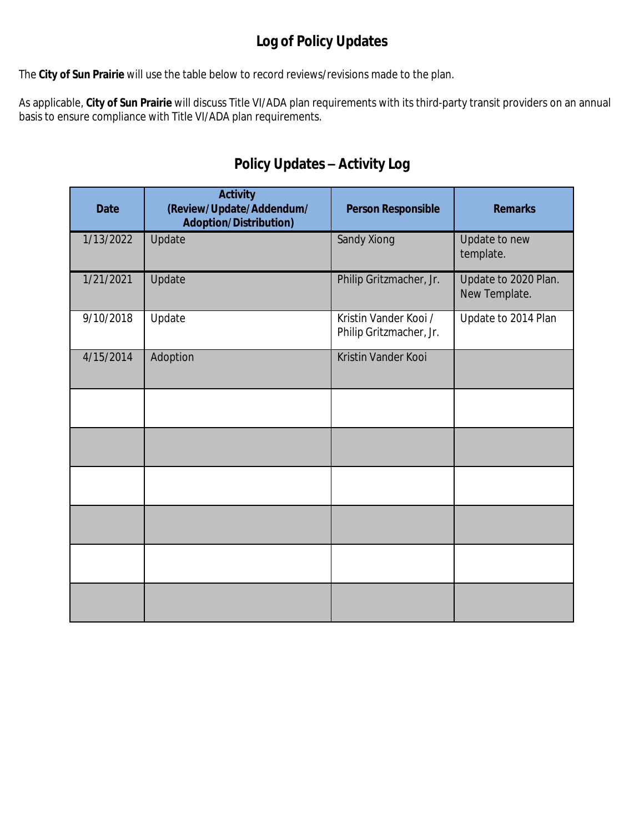# **Log of Policy Updates**

The **City of Sun Prairie** will use the table below to record reviews/revisions made to the plan.

As applicable, **City of Sun Prairie** will discuss Title VI/ADA plan requirements with its third-party transit providers on an annual basis to ensure compliance with Title VI/ADA plan requirements.

# **Policy Updates – Activity Log**

| <b>Date</b> | <b>Activity</b><br>(Review/Update/Addendum/<br><b>Adoption/Distribution)</b> | <b>Person Responsible</b>                        | <b>Remarks</b>                        |
|-------------|------------------------------------------------------------------------------|--------------------------------------------------|---------------------------------------|
| 1/13/2022   | Update                                                                       | Sandy Xiong                                      | Update to new<br>template.            |
| 1/21/2021   | Update                                                                       | Philip Gritzmacher, Jr.                          | Update to 2020 Plan.<br>New Template. |
| 9/10/2018   | Update                                                                       | Kristin Vander Kooi /<br>Philip Gritzmacher, Jr. | Update to 2014 Plan                   |
| 4/15/2014   | Adoption                                                                     | Kristin Vander Kooi                              |                                       |
|             |                                                                              |                                                  |                                       |
|             |                                                                              |                                                  |                                       |
|             |                                                                              |                                                  |                                       |
|             |                                                                              |                                                  |                                       |
|             |                                                                              |                                                  |                                       |
|             |                                                                              |                                                  |                                       |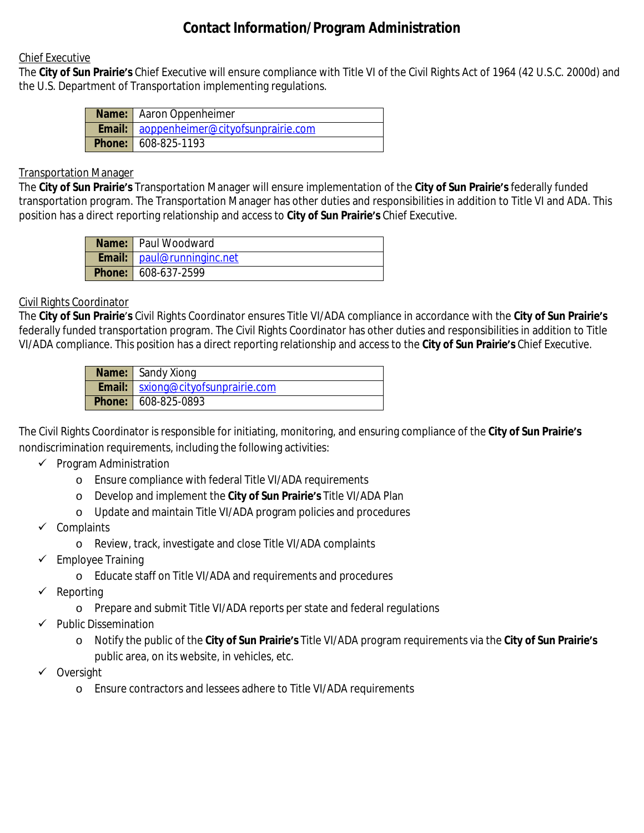# **Contact Information/Program Administration**

#### Chief Executive

The **City of Sun Prairie's** Chief Executive will ensure compliance with Title VI of the Civil Rights Act of 1964 (42 U.S.C. 2000d) and the U.S. Department of Transportation implementing regulations.

| <b>Name:</b> Aaron Oppenheimer                  |
|-------------------------------------------------|
| <b>Email:</b> aoppenheimer@cityofsunprairie.com |
| <b>Phone:</b> 608-825-1193                      |

#### Transportation Manager

The **City of Sun Prairie's** Transportation Manager will ensure implementation of the **City of Sun Prairie's** federally funded transportation program. The Transportation Manager has other duties and responsibilities in addition to Title VI and ADA. This position has a direct reporting relationship and access to **City of Sun Prairie's** Chief Executive.

| <b>Name:</b> Paul Woodward          |
|-------------------------------------|
| <b>Email:</b>   paul@runninginc.net |
| <b>Phone: 608-637-2599</b>          |

#### Civil Rights Coordinator

The **City of Sun Prairie**'**s** Civil Rights Coordinator ensures Title VI/ADA compliance in accordance with the **City of Sun Prairie's** federally funded transportation program. The Civil Rights Coordinator has other duties and responsibilities in addition to Title VI/ADA compliance. This position has a direct reporting relationship and access to the **City of Sun Prairie's** Chief Executive.

| <b>Name:</b> Sandy Xiong                    |
|---------------------------------------------|
| <b>Email:</b>   sxiong@cityofsunprairie.com |
| <b>Phone: 608-825-0893</b>                  |

The Civil Rights Coordinator is responsible for initiating, monitoring, and ensuring compliance of the **City of Sun Prairie's** nondiscrimination requirements, including the following activities:

- $\checkmark$  Program Administration
	- o Ensure compliance with federal Title VI/ADA requirements
	- o Develop and implement the **City of Sun Prairie's** Title VI/ADA Plan
	- o Update and maintain Title VI/ADA program policies and procedures
- $\checkmark$  Complaints
	- o Review, track, investigate and close Title VI/ADA complaints
- $\checkmark$  Employee Training
	- o Educate staff on Title VI/ADA and requirements and procedures
- $\checkmark$  Reporting
	- o Prepare and submit Title VI/ADA reports per state and federal regulations
- $\checkmark$  Public Dissemination
	- o Notify the public of the **City of Sun Prairie's** Title VI/ADA program requirements via the **City of Sun Prairie's** public area, on its website, in vehicles, etc.
- Oversight
	- o Ensure contractors and lessees adhere to Title VI/ADA requirements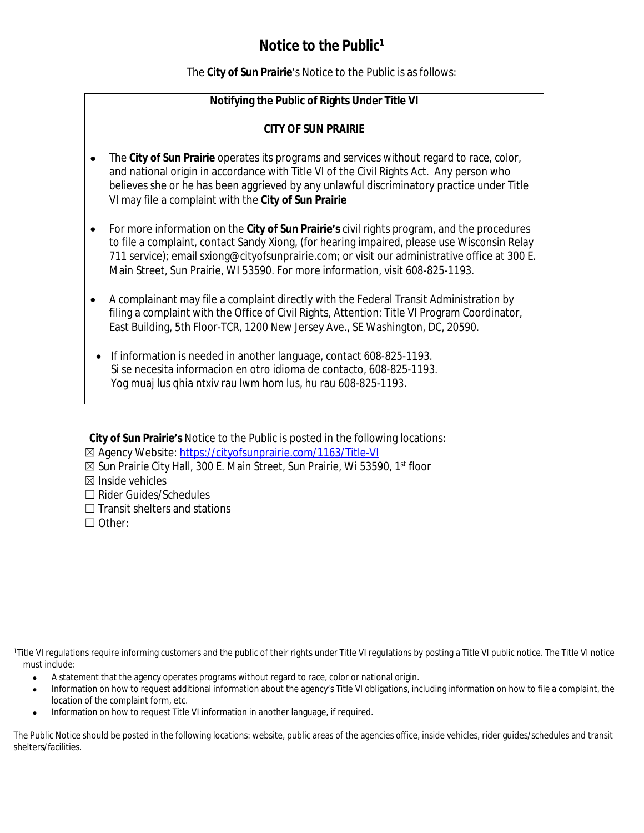# **Notice to the Public<sup>1</sup>**

The **City of Sun Prairie**'s Notice to the Public is as follows:

### **Notifying the Public of Rights Under Title VI**

#### **CITY OF SUN PRAIRIE**

- The **City of Sun Prairie** operates its programs and services without regard to race, color, and national origin in accordance with Title VI of the Civil Rights Act. Any person who believes she or he has been aggrieved by any unlawful discriminatory practice under Title VI may file a complaint with the **City of Sun Prairie**
- For more information on the **City of Sun Prairie's** civil rights program, and the procedures to file a complaint, contact Sandy Xiong, (for hearing impaired, please use Wisconsin Relay 711 service); email sxiong@cityofsunprairie.com; or visit our administrative office at 300 E. Main Street, Sun Prairie, WI 53590. For more information, visit 608-825-1193.
- A complainant may file a complaint directly with the Federal Transit Administration by filing a complaint with the Office of Civil Rights, Attention: Title VI Program Coordinator, East Building, 5th Floor-TCR, 1200 New Jersey Ave., SE Washington, DC, 20590.
- If information is needed in another language, contact 608-825-1193. Si se necesita informacion en otro idioma de contacto, 608-825-1193. Yog muaj lus qhia ntxiv rau lwm hom lus, hu rau 608-825-1193.

| City of Sun Prairie's Notice to the Public is posted in the following locations:          |
|-------------------------------------------------------------------------------------------|
| ⊠ Agency Website: https://cityofsunprairie.com/1163/Title-VI                              |
| ⊠ Sun Prairie City Hall, 300 E. Main Street, Sun Prairie, Wi 53590, 1 <sup>st</sup> floor |
| $\boxtimes$ Inside vehicles                                                               |
| $\Box$ Rider Guides/Schedules                                                             |
| $\Box$ Transit shelters and stations                                                      |
| $\Box$ Other: $\Box$                                                                      |

<sup>1</sup>Title VI requlations require informing customers and the public of their rights under Title VI requlations by posting a Title VI public notice. The Title VI notice must include:

- A statement that the agency operates programs without regard to race, color or national origin.
- Information on how to request additional information about the agency's Title VI obligations, including information on how to file a complaint, the location of the complaint form, etc.
- Information on how to request Title VI information in another language, if required.

The Public Notice should be posted in the following locations: website, public areas of the agencies office, inside vehicles, rider guides/schedules and transit shelters/facilities.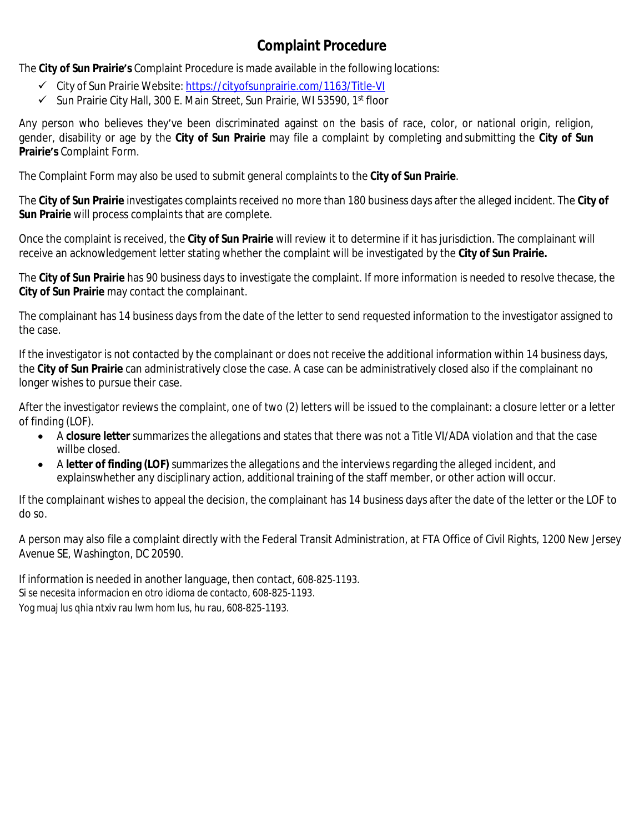# **Complaint Procedure**

The **City of Sun Prairie's** Complaint Procedure is made available in the following locations:

- City of Sun Prairie Website: <https://cityofsunprairie.com/1163/Title-VI>
- ✓ Sun Prairie City Hall, 300 E. Main Street, Sun Prairie, WI 53590, 1<sup>st</sup> floor

Any person who believes they've been discriminated against on the basis of race, color, or national origin, religion, gender, disability or age by the **City of Sun Prairie** may file a complaint by completing and submitting the **City of Sun Prairie's** Complaint Form.

The Complaint Form may also be used to submit general complaints to the **City of Sun Prairie**.

The **City of Sun Prairie** investigates complaints received no more than 180 business days after the alleged incident. The **City of Sun Prairie** will process complaints that are complete.

Once the complaint is received, the **City of Sun Prairie** will review it to determine if it has jurisdiction. The complainant will receive an acknowledgement letter stating whether the complaint will be investigated by the **City of Sun Prairie.**

The **City of Sun Prairie** has 90 business days to investigate the complaint. If more information is needed to resolve thecase, the **City of Sun Prairie** may contact the complainant.

The complainant has 14 business days from the date of the letter to send requested information to the investigator assigned to the case.

If the investigator is not contacted by the complainant or does not receive the additional information within 14 business days, the **City of Sun Prairie** can administratively close the case. A case can be administratively closed also if the complainant no longer wishes to pursue their case.

After the investigator reviews the complaint, one of two (2) letters will be issued to the complainant: a closure letter or a letter of finding (LOF).

- A **closure letter** summarizes the allegations and states that there was not a Title VI/ADA violation and that the case willbe closed.
- A **letter of finding (LOF)** summarizes the allegations and the interviews regarding the alleged incident, and explainswhether any disciplinary action, additional training of the staff member, or other action will occur.

If the complainant wishes to appeal the decision, the complainant has 14 business days after the date of the letter or the LOF to do so.

A person may also file a complaint directly with the Federal Transit Administration, at FTA Office of Civil Rights, 1200 New Jersey Avenue SE, Washington, DC 20590.

If information is needed in another language, then contact, 608-825-1193. Si se necesita informacion en otro idioma de contacto, 608-825-1193. Yog muaj lus qhia ntxiv rau lwm hom lus, hu rau, 608-825-1193.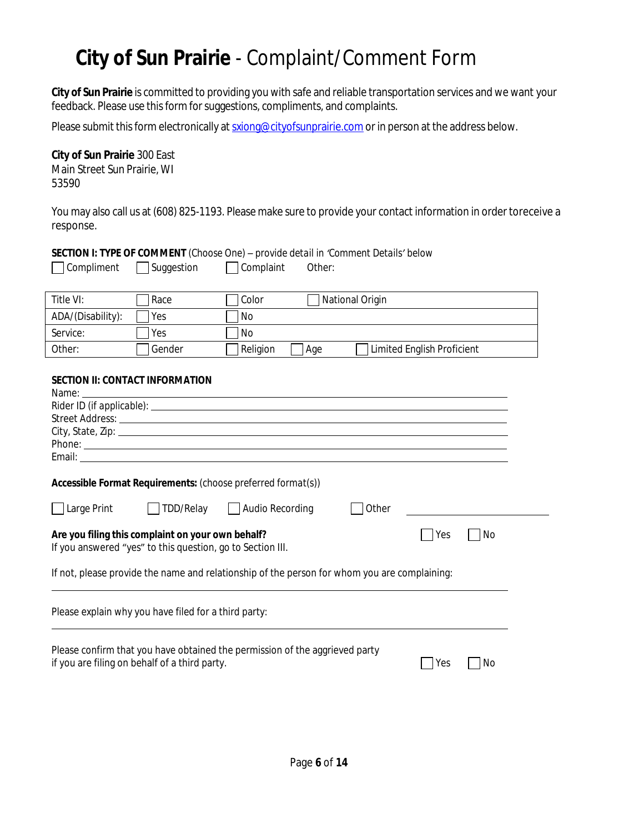# **City of Sun Prairie** - Complaint/Comment Form

**City of Sun Prairie** is committed to providing you with safe and reliable transportation services and we want your feedback. Please use this form for suggestions, compliments, and complaints.

Please submit this form electronically at [sxiong@cityofsunprairie.com](mailto:sxiong@cityofsunprairie.com) or in person at the address below.

### **City of Sun Prairie** 300 East

Main Street Sun Prairie, WI 53590

You may also call us at (608) 825-1193. Please make sure to provide your contact information in order toreceive a response.

#### **SECTION I: TYPE OF COMMENT** *(Choose One) – provide detail in 'Comment Details' below*

| $\Box$ Compliment | $\Box$ Suggestion | $\Box$ Complaint | Other: |
|-------------------|-------------------|------------------|--------|
|                   |                   |                  |        |

| Title VI:         | Race   | Color    | National Origin                   |
|-------------------|--------|----------|-----------------------------------|
| ADA/(Disability): | Yes    | No       |                                   |
| Service:          | Yes    | l No     |                                   |
| Other:            | Gender | Religion | Limited English Proficient<br>Age |

#### **SECTION II: CONTACT INFORMATION**

| Name:                                                                                                                        |  | <u> 1989 - Johann Stoff, deutscher Stoffen und der Stoffen und der Stoffen und der Stoffen und der Stoffen und der</u> |       |     |    |  |  |
|------------------------------------------------------------------------------------------------------------------------------|--|------------------------------------------------------------------------------------------------------------------------|-------|-----|----|--|--|
|                                                                                                                              |  |                                                                                                                        |       |     |    |  |  |
|                                                                                                                              |  |                                                                                                                        |       |     |    |  |  |
|                                                                                                                              |  |                                                                                                                        |       |     |    |  |  |
|                                                                                                                              |  |                                                                                                                        |       |     |    |  |  |
|                                                                                                                              |  |                                                                                                                        |       |     |    |  |  |
|                                                                                                                              |  | Accessible Format Requirements: (choose preferred format(s))                                                           |       |     |    |  |  |
| Large Print                                                                                                                  |  | TDD/Relay   Audio Recording                                                                                            | Other |     |    |  |  |
| Are you filing this complaint on your own behalf?<br>No<br>Yes<br>If you answered "yes" to this question, go to Section III. |  |                                                                                                                        |       |     |    |  |  |
| If not, please provide the name and relationship of the person for whom you are complaining:                                 |  |                                                                                                                        |       |     |    |  |  |
| Please explain why you have filed for a third party:                                                                         |  |                                                                                                                        |       |     |    |  |  |
| if you are filing on behalf of a third party.                                                                                |  | Please confirm that you have obtained the permission of the aggrieved party                                            |       | Yes | No |  |  |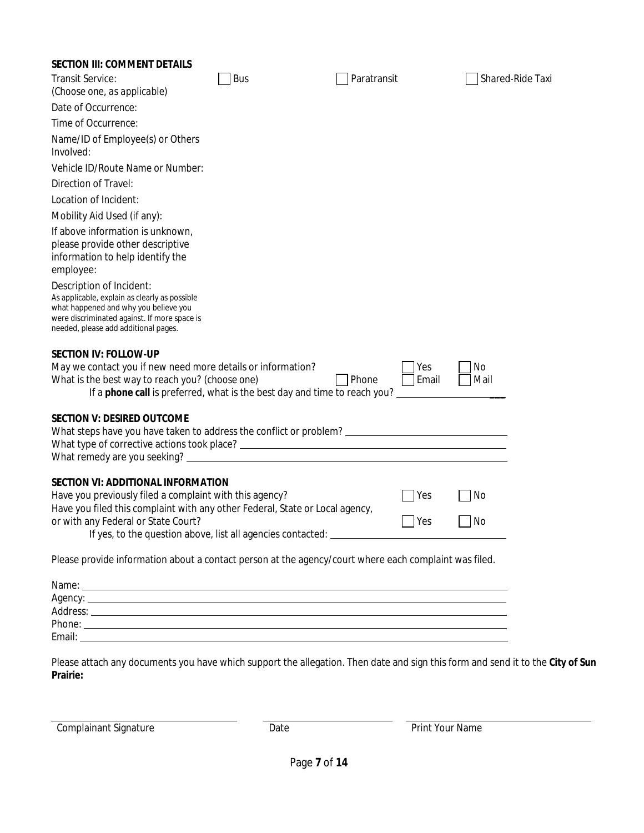#### **SECTION III: COMMENT DETAILS**

| Transit Service:                                                                                                                                                                                           | <b>Bus</b>                                                                       | Paratransit    | Shared-Ride Taxi |
|------------------------------------------------------------------------------------------------------------------------------------------------------------------------------------------------------------|----------------------------------------------------------------------------------|----------------|------------------|
| (Choose one, as applicable)                                                                                                                                                                                |                                                                                  |                |                  |
| Date of Occurrence:                                                                                                                                                                                        |                                                                                  |                |                  |
| Time of Occurrence:                                                                                                                                                                                        |                                                                                  |                |                  |
| Name/ID of Employee(s) or Others<br>Involved:                                                                                                                                                              |                                                                                  |                |                  |
| Vehicle ID/Route Name or Number:                                                                                                                                                                           |                                                                                  |                |                  |
| Direction of Travel:                                                                                                                                                                                       |                                                                                  |                |                  |
| Location of Incident:                                                                                                                                                                                      |                                                                                  |                |                  |
| Mobility Aid Used (if any):                                                                                                                                                                                |                                                                                  |                |                  |
| If above information is unknown,<br>please provide other descriptive<br>information to help identify the<br>employee:                                                                                      |                                                                                  |                |                  |
| Description of Incident:<br>As applicable, explain as clearly as possible<br>what happened and why you believe you<br>were discriminated against. If more space is<br>needed, please add additional pages. |                                                                                  |                |                  |
| <b>SECTION IV: FOLLOW-UP</b>                                                                                                                                                                               |                                                                                  |                |                  |
| May we contact you if new need more details or information?                                                                                                                                                |                                                                                  | Yes            | No               |
| What is the best way to reach you? (choose one)                                                                                                                                                            |                                                                                  | Phone<br>Email | Mail             |
|                                                                                                                                                                                                            | If a <b>phone call</b> is preferred, what is the best day and time to reach you? |                |                  |
| <b>SECTION V: DESIRED OUTCOME</b><br>What steps have you have taken to address the conflict or problem? _________________________________                                                                  |                                                                                  |                |                  |
| <b>SECTION VI: ADDITIONAL INFORMATION</b>                                                                                                                                                                  |                                                                                  |                |                  |
| Have you previously filed a complaint with this agency?                                                                                                                                                    |                                                                                  | Yes            | No               |
| Have you filed this complaint with any other Federal, State or Local agency,                                                                                                                               |                                                                                  |                |                  |
| or with any Federal or State Court?                                                                                                                                                                        |                                                                                  | Yes            | No               |
| If yes, to the question above, list all agencies contacted:                                                                                                                                                |                                                                                  |                |                  |
| Please provide information about a contact person at the agency/court where each complaint was filed.                                                                                                      |                                                                                  |                |                  |
|                                                                                                                                                                                                            |                                                                                  |                |                  |
|                                                                                                                                                                                                            |                                                                                  |                |                  |
| Address: experience and a series of the series of the series of the series of the series of the series of the                                                                                              |                                                                                  |                |                  |
|                                                                                                                                                                                                            |                                                                                  |                |                  |
|                                                                                                                                                                                                            |                                                                                  |                |                  |

Please attach any documents you have which support the allegation. Then date and sign this form and send it to the **City of Sun Prairie:**

Complainant Signature **Complainant Signature** Print Your Name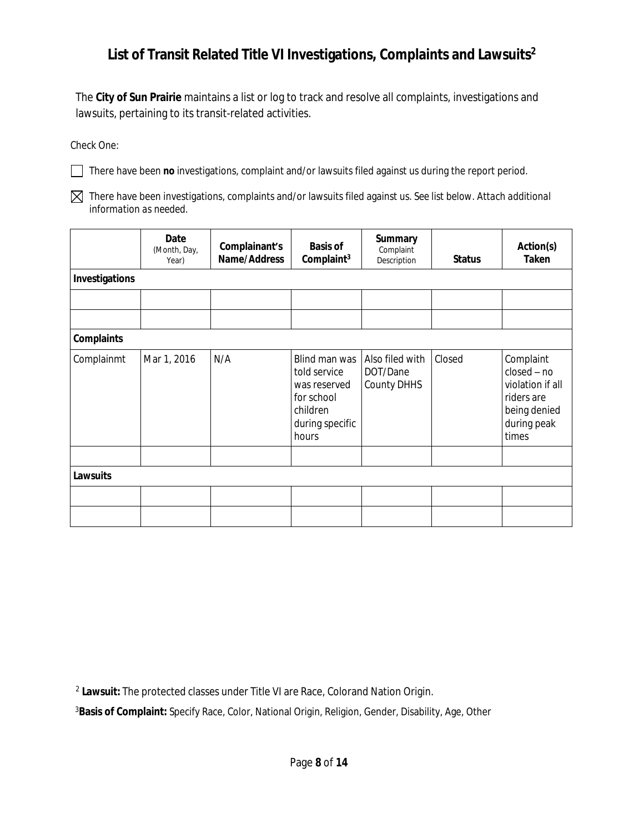# **List of Transit Related Title VI Investigations, Complaints and Lawsuits<sup>2</sup>**

The **City of Sun Prairie** maintains a list or log to track and resolve all complaints, investigations and lawsuits, pertaining to its transit-related activities.

Check One:

There have been **no** investigations, complaint and/or lawsuits filed against us during the report period.

There have been investigations, complaints and/or lawsuits filed against us. *See list below. Attach additional information as needed.*

|                   | Date<br>(Month, Day,<br>Year) | Complainant's<br>Name/Address | <b>Basis of</b><br>Complaint <sup>3</sup>                                                           | <b>Summary</b><br>Complaint<br>Description | <b>Status</b> | Action(s)<br><b>Taken</b>                                                                            |
|-------------------|-------------------------------|-------------------------------|-----------------------------------------------------------------------------------------------------|--------------------------------------------|---------------|------------------------------------------------------------------------------------------------------|
| Investigations    |                               |                               |                                                                                                     |                                            |               |                                                                                                      |
|                   |                               |                               |                                                                                                     |                                            |               |                                                                                                      |
|                   |                               |                               |                                                                                                     |                                            |               |                                                                                                      |
| <b>Complaints</b> |                               |                               |                                                                                                     |                                            |               |                                                                                                      |
| Complainmt        | Mar 1, 2016                   | N/A                           | Blind man was<br>told service<br>was reserved<br>for school<br>children<br>during specific<br>hours | Also filed with<br>DOT/Dane<br>County DHHS | Closed        | Complaint<br>$closed - no$<br>violation if all<br>riders are<br>being denied<br>during peak<br>times |
|                   |                               |                               |                                                                                                     |                                            |               |                                                                                                      |
| <b>Lawsuits</b>   |                               |                               |                                                                                                     |                                            |               |                                                                                                      |
|                   |                               |                               |                                                                                                     |                                            |               |                                                                                                      |
|                   |                               |                               |                                                                                                     |                                            |               |                                                                                                      |

2 **Lawsuit:** The protected classes under Title VI are Race, Colorand Nation Origin.

<sup>3</sup>**Basis of Complaint:** Specify Race, Color, National Origin, Religion, Gender, Disability, Age, Other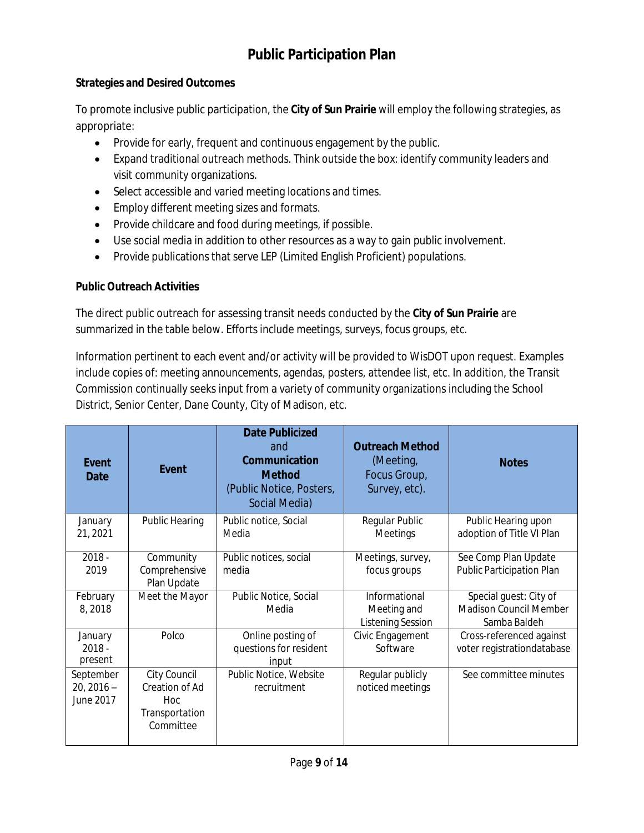# **Public Participation Plan**

### **Strategies and Desired Outcomes**

To promote inclusive public participation, the **City of Sun Prairie** will employ the following strategies, as appropriate:

- Provide for early, frequent and continuous engagement by the public.
- Expand traditional outreach methods. Think outside the box: identify community leaders and visit community organizations.
- Select accessible and varied meeting locations and times.
- **•** Employ different meeting sizes and formats.
- Provide childcare and food during meetings, if possible.
- Use social media in addition to other resources as a way to gain public involvement.
- Provide publications that serve LEP (Limited English Proficient) populations.

### **Public Outreach Activities**

The direct public outreach for assessing transit needs conducted by the **City of Sun Prairie** are summarized in the table below. Efforts include *meetings, surveys, focus groups, etc*.

Information pertinent to each event and/or activity will be provided to WisDOT upon request. Examples include copies of: meeting announcements, agendas, posters, attendee list, etc. In addition, the Transit Commission continually seeks input from a variety of community organizations including the School District, Senior Center, Dane County, City of Madison, etc.

| Event<br>Date                          | Event                                                                            | <b>Date Publicized</b><br>and<br>Communication<br><b>Method</b><br>(Public Notice, Posters,<br>Social Media) | <b>Outreach Method</b><br>(Meeting,<br>Focus Group,<br>Survey, etc). | <b>Notes</b>                                                     |
|----------------------------------------|----------------------------------------------------------------------------------|--------------------------------------------------------------------------------------------------------------|----------------------------------------------------------------------|------------------------------------------------------------------|
| January<br>21, 2021                    | <b>Public Hearing</b>                                                            | Public notice, Social<br>Media                                                                               | Regular Public<br>Meetings                                           | Public Hearing upon<br>adoption of Title VI Plan                 |
| $2018 -$<br>2019                       | Community<br>Comprehensive<br>Plan Update                                        | Public notices, social<br>media                                                                              | Meetings, survey,<br>focus groups                                    | See Comp Plan Update<br>Public Participation Plan                |
| February<br>8,2018                     | Meet the Mayor                                                                   | Public Notice, Social<br>Media                                                                               | Informational<br>Meeting and<br><b>Listening Session</b>             | Special quest: City of<br>Madison Council Member<br>Samba Baldeh |
| January<br>$2018 -$<br>present         | Polco                                                                            | Online posting of<br>questions for resident<br>input                                                         | Civic Engagement<br>Software                                         | Cross-referenced against<br>voter registrationdatabase           |
| September<br>$20, 2016 -$<br>June 2017 | City Council<br>Creation of Ad<br>H <sub>oc</sub><br>Transportation<br>Committee | Public Notice, Website<br>recruitment                                                                        | Regular publicly<br>noticed meetings                                 | See committee minutes                                            |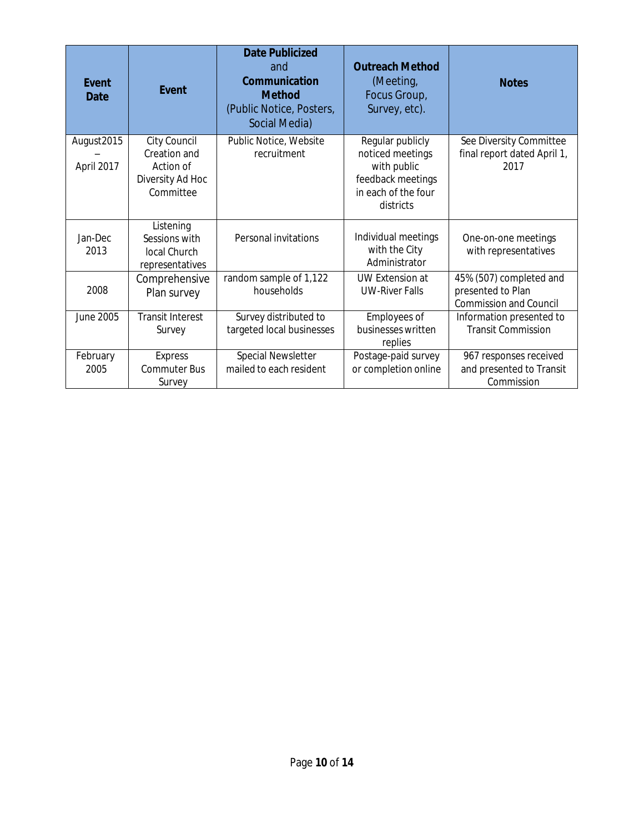| Event<br><b>Date</b>     | <b>Event</b>                                                               | <b>Date Publicized</b><br>and<br>Communication<br><b>Method</b><br>(Public Notice, Posters,<br>Social Media) | <b>Outreach Method</b><br>(Meeting,<br>Focus Group,<br>Survey, etc).                                         | <b>Notes</b>                                                                  |
|--------------------------|----------------------------------------------------------------------------|--------------------------------------------------------------------------------------------------------------|--------------------------------------------------------------------------------------------------------------|-------------------------------------------------------------------------------|
| August2015<br>April 2017 | City Council<br>Creation and<br>Action of<br>Diversity Ad Hoc<br>Committee | Public Notice, Website<br>recruitment                                                                        | Regular publicly<br>noticed meetings<br>with public<br>feedback meetings<br>in each of the four<br>districts | See Diversity Committee<br>final report dated April 1,<br>2017                |
| Jan-Dec<br>2013          | Listening<br>Sessions with<br>local Church<br>representatives              | Personal invitations                                                                                         | Individual meetings<br>with the City<br>Administrator                                                        | One-on-one meetings<br>with representatives                                   |
| 2008                     | Comprehensive<br>Plan survey                                               | random sample of 1,122<br>households                                                                         | <b>UW Extension at</b><br><b>UW-River Falls</b>                                                              | 45% (507) completed and<br>presented to Plan<br><b>Commission and Council</b> |
| June 2005                | <b>Transit Interest</b><br>Survey                                          | Survey distributed to<br>targeted local businesses                                                           | Employees of<br>businesses written<br>replies                                                                | Information presented to<br><b>Transit Commission</b>                         |
| February<br>2005         | <b>Express</b><br><b>Commuter Bus</b><br>Survey                            | Special Newsletter<br>mailed to each resident                                                                | Postage-paid survey<br>or completion online                                                                  | 967 responses received<br>and presented to Transit<br>Commission              |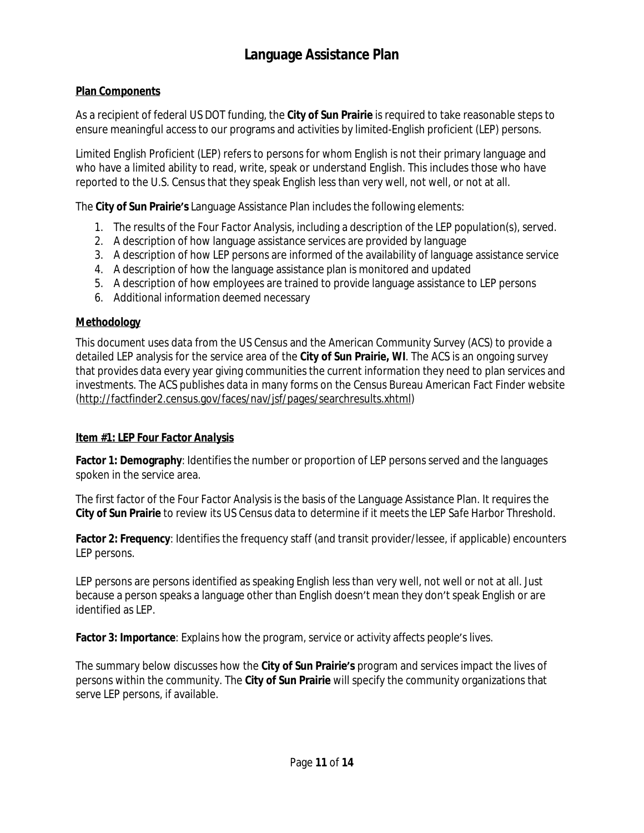### **Plan Components**

As a recipient of federal US DOT funding, the **City of Sun Prairie** is required to take reasonable steps to ensure meaningful access to our programs and activities by limited-English proficient (LEP) persons.

Limited English Proficient (LEP) refers to persons for whom English is not their primary language and who have a limited ability to read, write, speak or understand English. This includes those who have reported to the U.S. Census that they speak English less than very well, not well, or not at all.

The **City of Sun Prairie's** Language Assistance Plan includes the following elements:

- 1. The results of the *Four Factor Analysis*, including a description of the LEP population(s), served.
- 2. A description of how language assistance services are provided by language
- 3. A description of how LEP persons are informed of the availability of language assistance service
- 4. A description of how the language assistance plan is monitored and updated
- 5. A description of how employees are trained to provide language assistance to LEP persons
- 6. Additional information deemed necessary

### **Methodology**

This document uses data from the US Census and the American Community Survey (ACS) to provide a detailed LEP analysis for the service area of the **City of Sun Prairie, WI**. The ACS is an ongoing survey that provides data every year giving communities the current information they need to plan services and investments. The ACS publishes data in many forms on the Census Bureau American Fact Finder website [\(http://factfinder2.census.gov/faces/nav/jsf/pages/searchresults.xhtml\)](http://factfinder2.census.gov/faces/nav/jsf/pages/searchresults.xhtml)

### **Item #1: LEP** *Four Factor Analysis*

**Factor 1: Demography**: Identifies the number or proportion of LEP persons served and the languages spoken in the service area.

The first factor of the *Four Factor Analysis* is the basis of the Language Assistance Plan. It requires the **City of Sun Prairie** to review its US Census data to determine if it meets the *LEP Safe Harbor Threshold*.

**Factor 2: Frequency**: Identifies the frequency staff (and transit provider/lessee, if applicable) encounters LEP persons.

LEP persons are persons identified as speaking English less than very well, not well or not at all. Just because a person speaks a language other than English doesn't mean they don't speak English or are identified as LEP.

**Factor 3: Importance**: Explains how the program, service or activity affects people's lives.

The summary below discusses how the **City of Sun Prairie's** program and services impact the lives of persons within the community. The **City of Sun Prairie** will specify the community organizations that serve LEP persons, if available.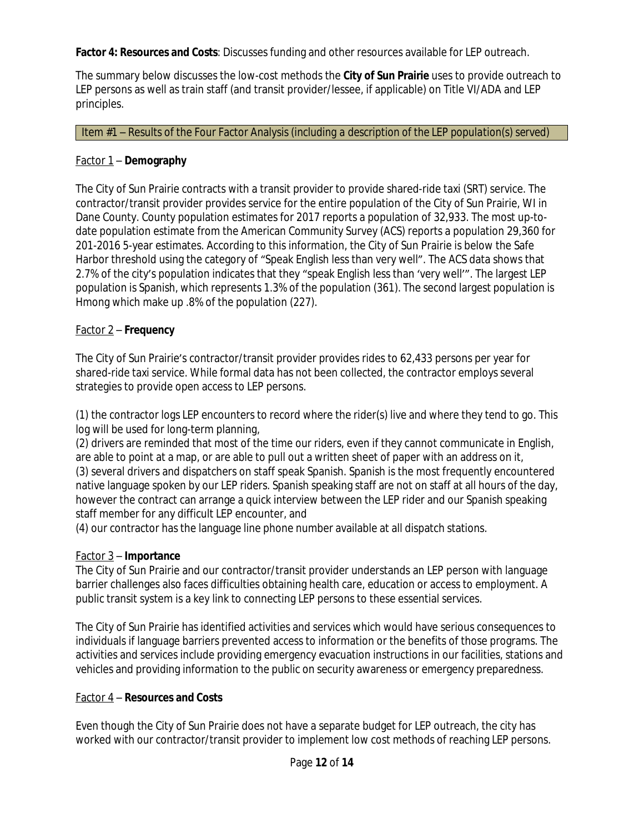**Factor 4: Resources and Costs**: Discusses funding and other resources available for LEP outreach.

The summary below discusses the low-cost methods the **City of Sun Prairie** uses to provide outreach to LEP persons as well as train staff (and transit provider/lessee, if applicable) on Title VI/ADA and LEP principles.

Item #1 – Results of the Four Factor Analysis *(including a description of the LEP population(s) served)*

### Factor 1 – **Demography**

The City of Sun Prairie contracts with a transit provider to provide shared-ride taxi (SRT) service. The contractor/transit provider provides service for the entire population of the City of Sun Prairie, WI in Dane County. County population estimates for 2017 reports a population of 32,933. The most up-todate population estimate from the American Community Survey (ACS) reports a population 29,360 for 201-2016 5-year estimates. According to this information, the City of Sun Prairie is below the Safe Harbor threshold using the category of "Speak English less than very well". The ACS data shows that 2.7% of the city's population indicates that they "speak English less than 'very well'". The largest LEP population is Spanish, which represents 1.3% of the population (361). The second largest population is Hmong which make up .8% of the population (227).

### Factor 2 – **Frequency**

The City of Sun Prairie's contractor/transit provider provides rides to 62,433 persons per year for shared-ride taxi service. While formal data has not been collected, the contractor employs several strategies to provide open access to LEP persons.

(1) the contractor logs LEP encounters to record where the rider(s) live and where they tend to go. This log will be used for long-term planning,

(2) drivers are reminded that most of the time our riders, even if they cannot communicate in English, are able to point at a map, or are able to pull out a written sheet of paper with an address on it, (3) several drivers and dispatchers on staff speak Spanish. Spanish is the most frequently encountered native language spoken by our LEP riders. Spanish speaking staff are not on staff at all hours of the day, however the contract can arrange a quick interview between the LEP rider and our Spanish speaking staff member for any difficult LEP encounter, and

(4) our contractor has the language line phone number available at all dispatch stations.

### Factor 3 – **Importance**

The City of Sun Prairie and our contractor/transit provider understands an LEP person with language barrier challenges also faces difficulties obtaining health care, education or access to employment. A public transit system is a key link to connecting LEP persons to these essential services.

The City of Sun Prairie has identified activities and services which would have serious consequences to individuals if language barriers prevented access to information or the benefits of those programs. The activities and services include providing emergency evacuation instructions in our facilities, stations and vehicles and providing information to the public on security awareness or emergency preparedness.

### Factor 4 – **Resources and Costs**

Even though the City of Sun Prairie does not have a separate budget for LEP outreach, the city has worked with our contractor/transit provider to implement low cost methods of reaching LEP persons.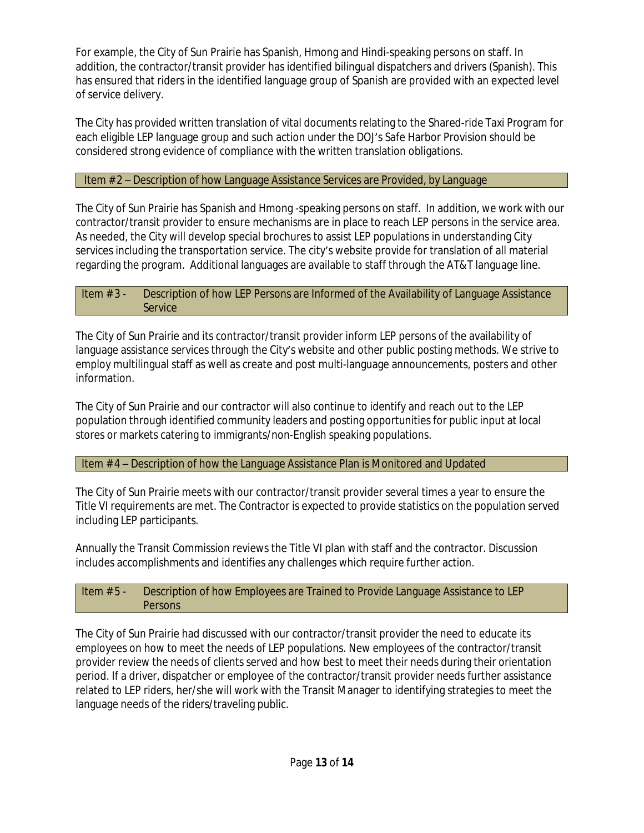For example, the City of Sun Prairie has Spanish, Hmong and Hindi-speaking persons on staff. In addition, the contractor/transit provider has identified bilingual dispatchers and drivers (Spanish). This has ensured that riders in the identified language group of Spanish are provided with an expected level of service delivery.

The City has provided written translation of vital documents relating to the Shared-ride Taxi Program for each eligible LEP language group and such action under the DOJ's Safe Harbor Provision should be considered strong evidence of compliance with the written translation obligations.

### Item # 2 – Description of how Language Assistance Services are Provided, by Language

The City of Sun Prairie has Spanish and Hmong -speaking persons on staff. In addition, we work with our contractor/transit provider to ensure mechanisms are in place to reach LEP persons in the service area. As needed, the City will develop special brochures to assist LEP populations in understanding City services including the transportation service. The city's website provide for translation of all material regarding the program. Additional languages are available to staff through the AT&T language line.

#### Item # 3 - Description of how LEP Persons are Informed of the Availability of Language Assistance **Service**

The City of Sun Prairie and its contractor/transit provider inform LEP persons of the availability of language assistance services through the City's website and other public posting methods. We strive to employ multilingual staff as well as create and post multi-language announcements, posters and other information.

The City of Sun Prairie and our contractor will also continue to identify and reach out to the LEP population through identified community leaders and posting opportunities for public input at local stores or markets catering to immigrants/non-English speaking populations.

Item # 4 – Description of how the Language Assistance Plan is Monitored and Updated

The City of Sun Prairie meets with our contractor/transit provider several times a year to ensure the Title VI requirements are met. The Contractor is expected to provide statistics on the population served including LEP participants.

Annually the Transit Commission reviews the Title VI plan with staff and the contractor. Discussion includes accomplishments and identifies any challenges which require further action.

### Item # 5 - Description of how Employees are Trained to Provide Language Assistance to LEP **Persons**

The City of Sun Prairie had discussed with our contractor/transit provider the need to educate its employees on how to meet the needs of LEP populations. New employees of the contractor/transit provider review the needs of clients served and how best to meet their needs during their orientation period. If a driver, dispatcher or employee of the contractor/transit provider needs further assistance related to LEP riders, her/she will work with the Transit Manager to identifying strategies to meet the language needs of the riders/traveling public.